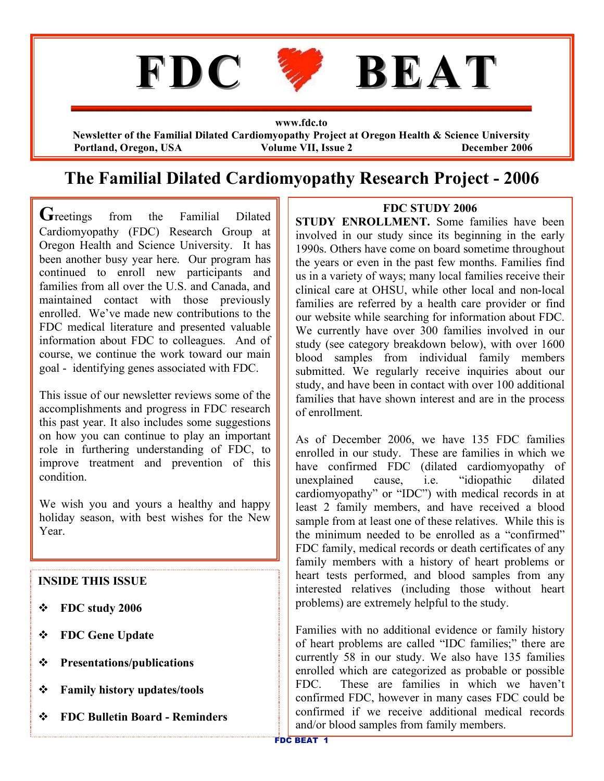

**www.fdc.to Newsletter of the Familial Dilated Cardiomyopathy Project at Oregon Health & Science University Portland, Oregon, USA Volume VII, Issue 2 December 2006**

# **The Familial Dilated Cardiomyopathy Research Project - 2006**

Greetings from the Familial Dilated Cardiomyopathy (FDC) Research Group at Oregon Health and Science University. It has been another busy year here. Our program has continued to enroll new participants and families from all over the U.S. and Canada, and maintained contact with those previously enrolled. We've made new contributions to the FDC medical literature and presented valuable information about FDC to colleagues. And of course, we continue the work toward our main goal - identifying genes associated with FDC.

This issue of our newsletter reviews some of the accomplishments and progress in FDC research this past year. It also includes some suggestions on how you can continue to play an important role in furthering understanding of FDC, to improve treatment and prevention of this condition.

We wish you and yours a healthy and happy holiday season, with best wishes for the New Year.

### **INSIDE THIS ISSUE**

- v **FDC study 2006**
- v **FDC Gene Update**
- v **Presentations/publications**
- v **Family history updates/tools**
- v **FDC Bulletin Board - Reminders**

### **FDC STUDY 2006**

**STUDY ENROLLMENT.** Some families have been involved in our study since its beginning in the early 1990s. Others have come on board sometime throughout the years or even in the past few months. Families find us in a variety of ways; many local families receive their clinical care at OHSU, while other local and non-local families are referred by a health care provider or find our website while searching for information about FDC. We currently have over 300 families involved in our study (see category breakdown below), with over 1600 blood samples from individual family members submitted. We regularly receive inquiries about our study, and have been in contact with over 100 additional families that have shown interest and are in the process of enrollment.

As of December 2006, we have 135 FDC families enrolled in our study. These are families in which we have confirmed FDC (dilated cardiomyopathy of unexplained cause, i.e. "idiopathic dilated cardiomyopathy" or "IDC") with medical records in at least 2 family members, and have received a blood sample from at least one of these relatives. While this is the minimum needed to be enrolled as a "confirmed" FDC family, medical records or death certificates of any family members with a history of heart problems or heart tests performed, and blood samples from any interested relatives (including those without heart problems) are extremely helpful to the study.

Families with no additional evidence or family history of heart problems are called "IDC families;" there are currently 58 in our study. We also have 135 families enrolled which are categorized as probable or possible FDC. These are families in which we haven't confirmed FDC, however in many cases FDC could be confirmed if we receive additional medical records and/or blood samples from family members.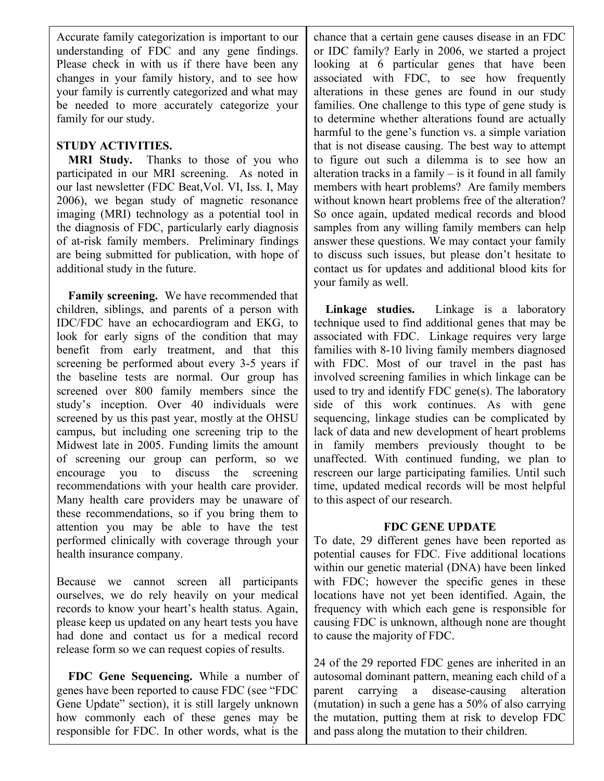Accurate family categorization is important to our understanding of FDC and any gene findings. Please check in with us if there have been any changes in your family history, and to see how your family is currently categorized and what may be needed to more accurately categorize your family for our study.

# **STUDY ACTIVITIES.**

**MRI Study.** Thanks to those of you who participated in our MRI screening. As noted in our last newsletter (FDC Beat,Vol. VI, Iss. I, May 2006), we began study of magnetic resonance imaging (MRI) technology as a potential tool in the diagnosis of FDC, particularly early diagnosis of at-risk family members. Preliminary findings are being submitted for publication, with hope of additional study in the future.

**Family screening.** We have recommended that children, siblings, and parents of a person with IDC/FDC have an echocardiogram and EKG, to look for early signs of the condition that may benefit from early treatment, and that this screening be performed about every 3-5 years if the baseline tests are normal. Our group has screened over 800 family members since the study's inception. Over 40 individuals were screened by us this past year, mostly at the OHSU campus, but including one screening trip to the Midwest late in 2005. Funding limits the amount of screening our group can perform, so we encourage you to discuss the screening recommendations with your health care provider. Many health care providers may be unaware of these recommendations, so if you bring them to attention you may be able to have the test performed clinically with coverage through your health insurance company.

Because we cannot screen all participants ourselves, we do rely heavily on your medical records to know your heart's health status. Again, please keep us updated on any heart tests you have had done and contact us for a medical record release form so we can request copies of results.

**FDC Gene Sequencing.** While a number of genes have been reported to cause FDC (see "FDC Gene Update" section), it is still largely unknown how commonly each of these genes may be responsible for FDC. In other words, what is the

chance that a certain gene causes disease in an FDC or IDC family? Early in 2006, we started a project looking at 6 particular genes that have been associated with FDC, to see how frequently alterations in these genes are found in our study families. One challenge to this type of gene study is to determine whether alterations found are actually harmful to the gene's function vs. a simple variation that is not disease causing. The best way to attempt to figure out such a dilemma is to see how an alteration tracks in a family  $-$  is it found in all family members with heart problems? Are family members without known heart problems free of the alteration? So once again, updated medical records and blood samples from any willing family members can help answer these questions. We may contact your family to discuss such issues, but please don't hesitate to contact us for updates and additional blood kits for your family as well.

**Linkage studies.** Linkage is a laboratory technique used to find additional genes that may be associated with FDC. Linkage requires very large families with 8-10 living family members diagnosed with FDC. Most of our travel in the past has involved screening families in which linkage can be used to try and identify FDC gene(s). The laboratory side of this work continues. As with gene sequencing, linkage studies can be complicated by lack of data and new development of heart problems in family members previously thought to be unaffected. With continued funding, we plan to rescreen our large participating families. Until such time, updated medical records will be most helpful to this aspect of our research.

### **FDC GENE UPDATE**

To date, 29 different genes have been reported as potential causes for FDC. Five additional locations within our genetic material (DNA) have been linked with FDC; however the specific genes in these locations have not yet been identified. Again, the frequency with which each gene is responsible for causing FDC is unknown, although none are thought to cause the majority of FDC.

FDC BEAT 2 24 of the 29 reported FDC genes are inherited in an autosomal dominant pattern, meaning each child of a parent carrying a disease-causing alteration (mutation) in such a gene has a 50% of also carrying the mutation, putting them at risk to develop FDC and pass along the mutation to their children.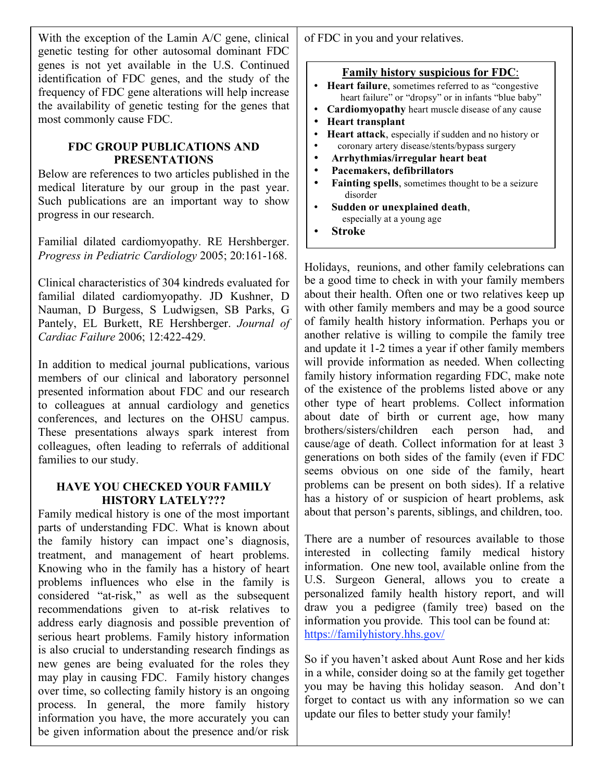With the exception of the Lamin A/C gene, clinical genetic testing for other autosomal dominant FDC genes is not yet available in the U.S. Continued identification of FDC genes, and the study of the frequency of FDC gene alterations will help increase the availability of genetic testing for the genes that most commonly cause FDC.

### **FDC GROUP PUBLICATIONS AND PRESENTATIONS**

Below are references to two articles published in the medical literature by our group in the past year. Such publications are an important way to show progress in our research.

Familial dilated cardiomyopathy. RE Hershberger. *Progress in Pediatric Cardiology* 2005; 20:161-168.

Clinical characteristics of 304 kindreds evaluated for familial dilated cardiomyopathy. JD Kushner, D Nauman, D Burgess, S Ludwigsen, SB Parks, G Pantely, EL Burkett, RE Hershberger. *Journal of Cardiac Failure* 2006; 12:422-429.

In addition to medical journal publications, various members of our clinical and laboratory personnel presented information about FDC and our research to colleagues at annual cardiology and genetics conferences, and lectures on the OHSU campus. These presentations always spark interest from colleagues, often leading to referrals of additional families to our study.

### **HAVE YOU CHECKED YOUR FAMILY HISTORY LATELY???**

FDC BEAT 3 Family medical history is one of the most important parts of understanding FDC. What is known about the family history can impact one's diagnosis, treatment, and management of heart problems. Knowing who in the family has a history of heart problems influences who else in the family is considered "at-risk," as well as the subsequent recommendations given to at-risk relatives to address early diagnosis and possible prevention of serious heart problems. Family history information is also crucial to understanding research findings as new genes are being evaluated for the roles they may play in causing FDC. Family history changes over time, so collecting family history is an ongoing process. In general, the more family history information you have, the more accurately you can be given information about the presence and/or risk

of FDC in you and your relatives.

| <b>Family history suspicious for FDC:</b>                              |
|------------------------------------------------------------------------|
| <b>Heart failure</b> , sometimes referred to as "congestive"           |
| heart failure" or "dropsy" or in infants "blue baby"                   |
| Cardiomyopathy heart muscle disease of any cause                       |
| <b>Heart transplant</b>                                                |
| <b>Heart attack</b> , especially if sudden and no history or           |
| coronary artery disease/stents/bypass surgery                          |
| Arrhythmias/irregular heart beat                                       |
| Pacemakers, defibrillators                                             |
| <b>Fainting spells</b> , sometimes thought to be a seizure<br>disorder |
| Sudden or unexplained death,                                           |
| especially at a young age                                              |
| Stroke                                                                 |

Holidays, reunions, and other family celebrations can be a good time to check in with your family members about their health. Often one or two relatives keep up with other family members and may be a good source of family health history information. Perhaps you or another relative is willing to compile the family tree and update it 1-2 times a year if other family members will provide information as needed. When collecting family history information regarding FDC, make note of the existence of the problems listed above or any other type of heart problems. Collect information about date of birth or current age, how many brothers/sisters/children each person had, and cause/age of death. Collect information for at least 3 generations on both sides of the family (even if FDC seems obvious on one side of the family, heart problems can be present on both sides). If a relative has a history of or suspicion of heart problems, ask about that person's parents, siblings, and children, too.

There are a number of resources available to those interested in collecting family medical history information. One new tool, available online from the U.S. Surgeon General, allows you to create a personalized family health history report, and will draw you a pedigree (family tree) based on the information you provide. This tool can be found at: https://familyhistory.hhs.gov/

So if you haven't asked about Aunt Rose and her kids in a while, consider doing so at the family get together you may be having this holiday season. And don't forget to contact us with any information so we can update our files to better study your family!